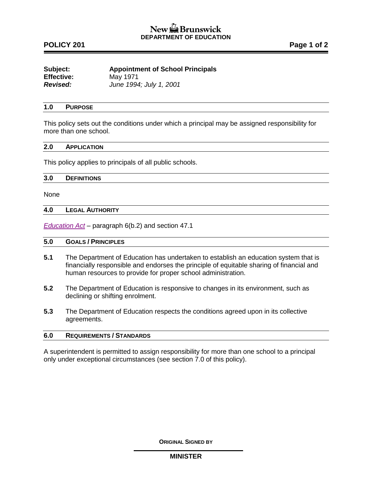# New the Brunswick **DEPARTMENT OF EDUCATION**

# **POLICY 201 Page 1 of 2**

| Subject:          | <b>Appointment of School Principals</b> |
|-------------------|-----------------------------------------|
| <b>Effective:</b> | May 1971                                |
| <b>Revised:</b>   | June 1994; July 1, 2001                 |

## **1.0 PURPOSE**

This policy sets out the conditions under which a principal may be assigned responsibility for more than one school.

### **2.0 APPLICATION**

This policy applies to principals of all public schools.

#### **3.0 DEFINITIONS**

None

## **4.0 LEGAL AUTHORITY**

*[Education Act](http://laws.gnb.ca/en/ShowPdf/cs/E-1.12.pdf)* – paragraph 6(b.2) and section 47.1

### **5.0 GOALS / PRINCIPLES**

- **5.1** The Department of Education has undertaken to establish an education system that is financially responsible and endorses the principle of equitable sharing of financial and human resources to provide for proper school administration.
- **5.2** The Department of Education is responsive to changes in its environment, such as declining or shifting enrolment.
- **5.3** The Department of Education respects the conditions agreed upon in its collective agreements.

## **6.0 REQUIREMENTS / STANDARDS**

A superintendent is permitted to assign responsibility for more than one school to a principal only under exceptional circumstances (see section 7.0 of this policy).

**ORIGINAL SIGNED BY**

**MINISTER**